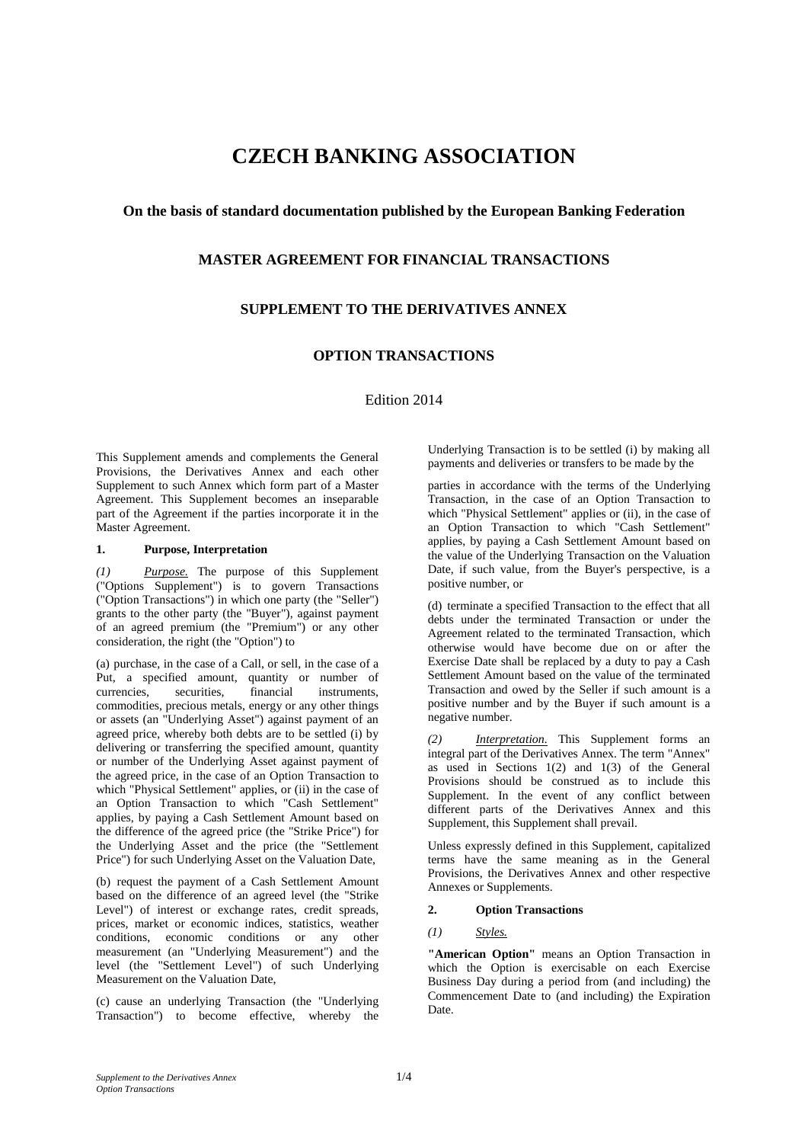# **CZECH BANKING ASSOCIATION**

## **On the basis of standard documentation published by the European Banking Federation**

## **MASTER AGREEMENT FOR FINANCIAL TRANSACTIONS**

# **SUPPLEMENT TO THE DERIVATIVES ANNEX**

# **OPTION TRANSACTIONS**

Edition 2014

This Supplement amends and complements the General Provisions, the Derivatives Annex and each other Supplement to such Annex which form part of a Master Agreement. This Supplement becomes an inseparable part of the Agreement if the parties incorporate it in the Master Agreement.

#### **1. Purpose, Interpretation**

*(1) Purpose.* The purpose of this Supplement ("Options Supplement") is to govern Transactions ("Option Transactions") in which one party (the "Seller") grants to the other party (the "Buyer"), against payment of an agreed premium (the "Premium") or any other consideration, the right (the "Option") to

(a) purchase, in the case of a Call, or sell, in the case of a Put, a specified amount, quantity or number of currencies, securities, financial instruments, currencies, securities, financial instruments, commodities, precious metals, energy or any other things or assets (an "Underlying Asset") against payment of an agreed price, whereby both debts are to be settled (i) by delivering or transferring the specified amount, quantity or number of the Underlying Asset against payment of the agreed price, in the case of an Option Transaction to which "Physical Settlement" applies, or (ii) in the case of an Option Transaction to which "Cash Settlement" applies, by paying a Cash Settlement Amount based on the difference of the agreed price (the "Strike Price") for the Underlying Asset and the price (the "Settlement Price") for such Underlying Asset on the Valuation Date,

(b) request the payment of a Cash Settlement Amount based on the difference of an agreed level (the "Strike Level") of interest or exchange rates, credit spreads, prices, market or economic indices, statistics, weather conditions, economic conditions or any other measurement (an "Underlying Measurement") and the level (the "Settlement Level") of such Underlying Measurement on the Valuation Date,

(c) cause an underlying Transaction (the "Underlying Transaction") to become effective, whereby the

Underlying Transaction is to be settled (i) by making all payments and deliveries or transfers to be made by the

parties in accordance with the terms of the Underlying Transaction, in the case of an Option Transaction to which "Physical Settlement" applies or (ii), in the case of an Option Transaction to which "Cash Settlement" applies, by paying a Cash Settlement Amount based on the value of the Underlying Transaction on the Valuation Date, if such value, from the Buyer's perspective, is a positive number, or

(d) terminate a specified Transaction to the effect that all debts under the terminated Transaction or under the Agreement related to the terminated Transaction, which otherwise would have become due on or after the Exercise Date shall be replaced by a duty to pay a Cash Settlement Amount based on the value of the terminated Transaction and owed by the Seller if such amount is a positive number and by the Buyer if such amount is a negative number.

*(2) Interpretation.* This Supplement forms an integral part of the Derivatives Annex. The term "Annex" as used in Sections 1(2) and 1(3) of the General Provisions should be construed as to include this Supplement. In the event of any conflict between different parts of the Derivatives Annex and this Supplement, this Supplement shall prevail.

Unless expressly defined in this Supplement, capitalized terms have the same meaning as in the General Provisions, the Derivatives Annex and other respective Annexes or Supplements.

#### **2. Option Transactions**

## *(1) Styles.*

**"American Option"** means an Option Transaction in which the Option is exercisable on each Exercise Business Day during a period from (and including) the Commencement Date to (and including) the Expiration Date.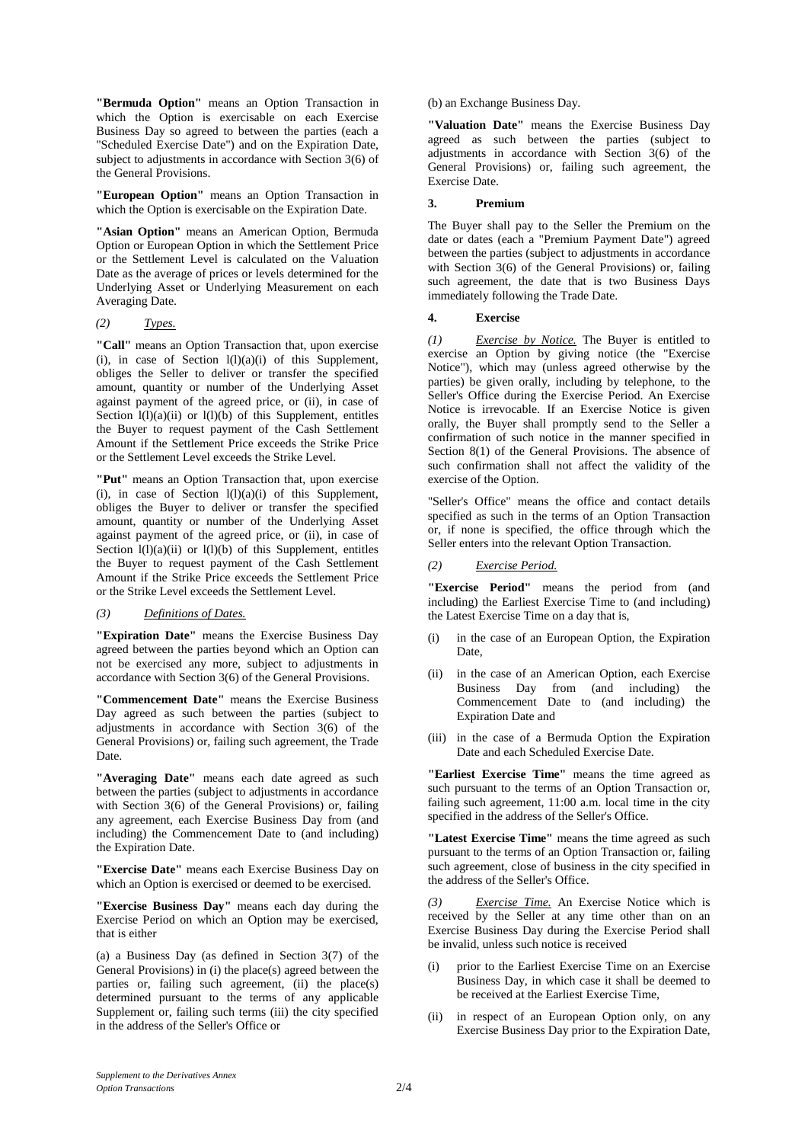**"Bermuda Option"** means an Option Transaction in which the Option is exercisable on each Exercise Business Day so agreed to between the parties (each a "Scheduled Exercise Date") and on the Expiration Date, subject to adjustments in accordance with Section 3(6) of the General Provisions.

**"European Option"** means an Option Transaction in which the Option is exercisable on the Expiration Date.

**"Asian Option"** means an American Option, Bermuda Option or European Option in which the Settlement Price or the Settlement Level is calculated on the Valuation Date as the average of prices or levels determined for the Underlying Asset or Underlying Measurement on each Averaging Date.

#### *(2) Types.*

**"Call"** means an Option Transaction that, upon exercise (i), in case of Section  $l(l)(a)(i)$  of this Supplement, obliges the Seller to deliver or transfer the specified amount, quantity or number of the Underlying Asset against payment of the agreed price, or (ii), in case of Section  $l(l)(a)(ii)$  or  $l(l)(b)$  of this Supplement, entitles the Buyer to request payment of the Cash Settlement Amount if the Settlement Price exceeds the Strike Price or the Settlement Level exceeds the Strike Level.

**"Put"** means an Option Transaction that, upon exercise (i), in case of Section  $l(l)(a)(i)$  of this Supplement, obliges the Buyer to deliver or transfer the specified amount, quantity or number of the Underlying Asset against payment of the agreed price, or (ii), in case of Section  $l(l)(a)(ii)$  or  $l(l)(b)$  of this Supplement, entitles the Buyer to request payment of the Cash Settlement Amount if the Strike Price exceeds the Settlement Price or the Strike Level exceeds the Settlement Level.

#### *(3) Definitions of Dates.*

**"Expiration Date"** means the Exercise Business Day agreed between the parties beyond which an Option can not be exercised any more, subject to adjustments in accordance with Section 3(6) of the General Provisions.

**"Commencement Date"** means the Exercise Business Day agreed as such between the parties (subject to adjustments in accordance with Section 3(6) of the General Provisions) or, failing such agreement, the Trade Date.

**"Averaging Date"** means each date agreed as such between the parties (subject to adjustments in accordance with Section 3(6) of the General Provisions) or, failing any agreement, each Exercise Business Day from (and including) the Commencement Date to (and including) the Expiration Date.

**"Exercise Date"** means each Exercise Business Day on which an Option is exercised or deemed to be exercised.

**"Exercise Business Day"** means each day during the Exercise Period on which an Option may be exercised, that is either

(a) a Business Day (as defined in Section 3(7) of the General Provisions) in (i) the place(s) agreed between the parties or, failing such agreement, (ii) the place(s) determined pursuant to the terms of any applicable Supplement or, failing such terms (iii) the city specified in the address of the Seller's Office or

(b) an Exchange Business Day.

**"Valuation Date"** means the Exercise Business Day agreed as such between the parties (subject to adjustments in accordance with Section 3(6) of the General Provisions) or, failing such agreement, the Exercise Date.

### **3. Premium**

The Buyer shall pay to the Seller the Premium on the date or dates (each a "Premium Payment Date") agreed between the parties (subject to adjustments in accordance with Section 3(6) of the General Provisions) or, failing such agreement, the date that is two Business Days immediately following the Trade Date.

#### **4. Exercise**

*(1) Exercise by Notice.* The Buyer is entitled to exercise an Option by giving notice (the "Exercise Notice"), which may (unless agreed otherwise by the parties) be given orally, including by telephone, to the Seller's Office during the Exercise Period. An Exercise Notice is irrevocable. If an Exercise Notice is given orally, the Buyer shall promptly send to the Seller a confirmation of such notice in the manner specified in Section 8(1) of the General Provisions. The absence of such confirmation shall not affect the validity of the exercise of the Option.

"Seller's Office" means the office and contact details specified as such in the terms of an Option Transaction or, if none is specified, the office through which the Seller enters into the relevant Option Transaction.

#### *(2) Exercise Period.*

**"Exercise Period"** means the period from (and including) the Earliest Exercise Time to (and including) the Latest Exercise Time on a day that is,

- (i) in the case of an European Option, the Expiration Date,
- (ii) in the case of an American Option, each Exercise Business Day from (and including) the Commencement Date to (and including) the Expiration Date and
- (iii) in the case of a Bermuda Option the Expiration Date and each Scheduled Exercise Date.

**"Earliest Exercise Time"** means the time agreed as such pursuant to the terms of an Option Transaction or, failing such agreement, 11:00 a.m. local time in the city specified in the address of the Seller's Office.

**"Latest Exercise Time"** means the time agreed as such pursuant to the terms of an Option Transaction or, failing such agreement, close of business in the city specified in the address of the Seller's Office.

*Exercise Time.* An Exercise Notice which is received by the Seller at any time other than on an Exercise Business Day during the Exercise Period shall be invalid, unless such notice is received

- (i) prior to the Earliest Exercise Time on an Exercise Business Day, in which case it shall be deemed to be received at the Earliest Exercise Time,
- (ii) in respect of an European Option only, on any Exercise Business Day prior to the Expiration Date,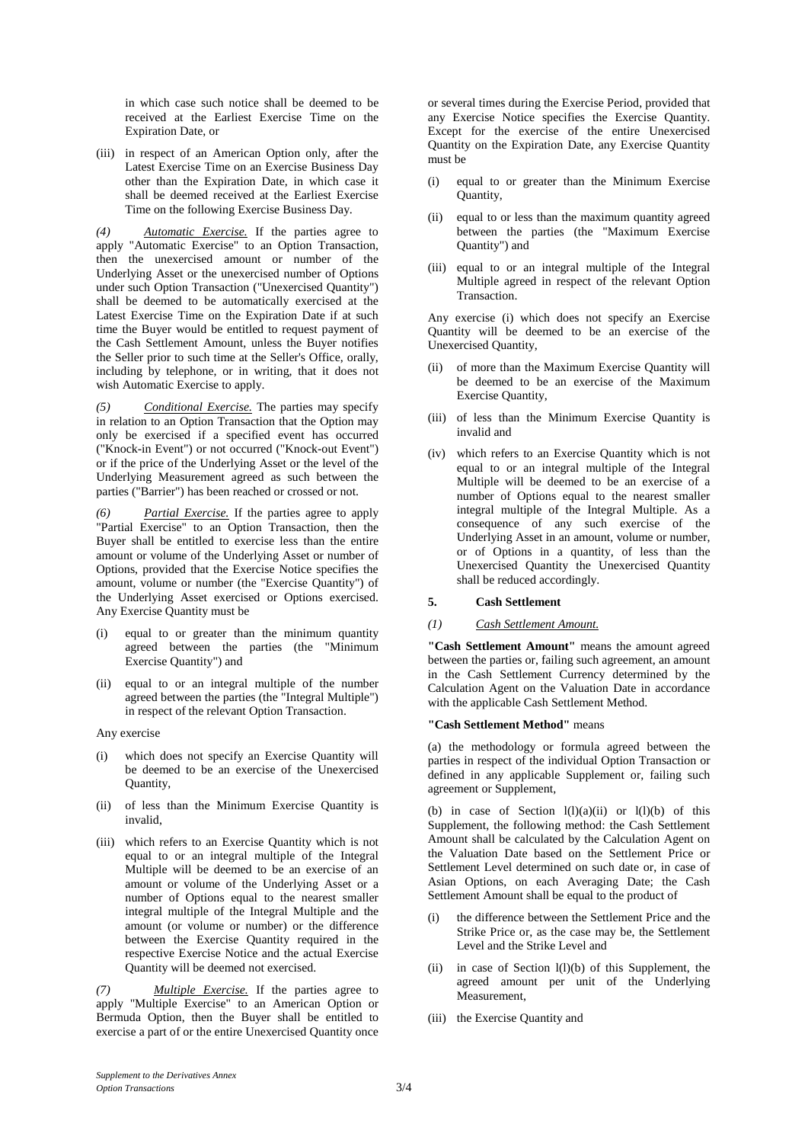in which case such notice shall be deemed to be received at the Earliest Exercise Time on the Expiration Date, or

(iii) in respect of an American Option only, after the Latest Exercise Time on an Exercise Business Day other than the Expiration Date, in which case it shall be deemed received at the Earliest Exercise Time on the following Exercise Business Day.

*(4) Automatic Exercise.* If the parties agree to apply "Automatic Exercise" to an Option Transaction, then the unexercised amount or number of the Underlying Asset or the unexercised number of Options under such Option Transaction ("Unexercised Quantity") shall be deemed to be automatically exercised at the Latest Exercise Time on the Expiration Date if at such time the Buyer would be entitled to request payment of the Cash Settlement Amount, unless the Buyer notifies the Seller prior to such time at the Seller's Office, orally, including by telephone, or in writing, that it does not wish Automatic Exercise to apply.

*(5) Conditional Exercise.* The parties may specify in relation to an Option Transaction that the Option may only be exercised if a specified event has occurred ("Knock-in Event") or not occurred ("Knock-out Event") or if the price of the Underlying Asset or the level of the Underlying Measurement agreed as such between the parties ("Barrier") has been reached or crossed or not.

*(6) Partial Exercise.* If the parties agree to apply "Partial Exercise" to an Option Transaction, then the Buyer shall be entitled to exercise less than the entire amount or volume of the Underlying Asset or number of Options, provided that the Exercise Notice specifies the amount, volume or number (the "Exercise Quantity") of the Underlying Asset exercised or Options exercised. Any Exercise Quantity must be

- (i) equal to or greater than the minimum quantity agreed between the parties (the "Minimum Exercise Quantity") and
- (ii) equal to or an integral multiple of the number agreed between the parties (the "Integral Multiple") in respect of the relevant Option Transaction.

Any exercise

- (i) which does not specify an Exercise Quantity will be deemed to be an exercise of the Unexercised Quantity,
- (ii) of less than the Minimum Exercise Quantity is invalid,
- (iii) which refers to an Exercise Quantity which is not equal to or an integral multiple of the Integral Multiple will be deemed to be an exercise of an amount or volume of the Underlying Asset or a number of Options equal to the nearest smaller integral multiple of the Integral Multiple and the amount (or volume or number) or the difference between the Exercise Quantity required in the respective Exercise Notice and the actual Exercise Quantity will be deemed not exercised.

*(7) Multiple Exercise.* If the parties agree to apply "Multiple Exercise" to an American Option or Bermuda Option, then the Buyer shall be entitled to exercise a part of or the entire Unexercised Quantity once

or several times during the Exercise Period, provided that any Exercise Notice specifies the Exercise Quantity. Except for the exercise of the entire Unexercised Quantity on the Expiration Date, any Exercise Quantity must be

- (i) equal to or greater than the Minimum Exercise Quantity,
- (ii) equal to or less than the maximum quantity agreed between the parties (the "Maximum Exercise Quantity") and
- (iii) equal to or an integral multiple of the Integral Multiple agreed in respect of the relevant Option **Transaction**

Any exercise (i) which does not specify an Exercise Quantity will be deemed to be an exercise of the Unexercised Quantity,

- (ii) of more than the Maximum Exercise Quantity will be deemed to be an exercise of the Maximum Exercise Quantity,
- (iii) of less than the Minimum Exercise Quantity is invalid and
- (iv) which refers to an Exercise Quantity which is not equal to or an integral multiple of the Integral Multiple will be deemed to be an exercise of a number of Options equal to the nearest smaller integral multiple of the Integral Multiple. As a consequence of any such exercise of the Underlying Asset in an amount, volume or number, or of Options in a quantity, of less than the Unexercised Quantity the Unexercised Quantity shall be reduced accordingly.

#### **5. Cash Settlement**

#### *(1) Cash Settlement Amount.*

**"Cash Settlement Amount"** means the amount agreed between the parties or, failing such agreement, an amount in the Cash Settlement Currency determined by the Calculation Agent on the Valuation Date in accordance with the applicable Cash Settlement Method.

#### **"Cash Settlement Method"** means

(a) the methodology or formula agreed between the parties in respect of the individual Option Transaction or defined in any applicable Supplement or, failing such agreement or Supplement,

(b) in case of Section  $l(l)(a)(ii)$  or  $l(l)(b)$  of this Supplement, the following method: the Cash Settlement Amount shall be calculated by the Calculation Agent on the Valuation Date based on the Settlement Price or Settlement Level determined on such date or, in case of Asian Options, on each Averaging Date; the Cash Settlement Amount shall be equal to the product of

- the difference between the Settlement Price and the Strike Price or, as the case may be, the Settlement Level and the Strike Level and
- (ii) in case of Section  $l(l)(b)$  of this Supplement, the agreed amount per unit of the Underlying Measurement,
- (iii) the Exercise Quantity and